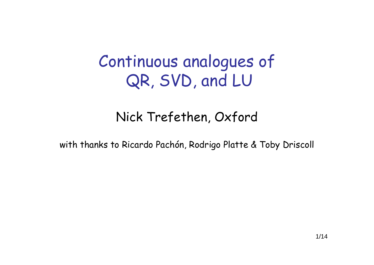# Continuous analogues of QR, SVD, and LU

# Nick Trefethen, Oxford

with thanks to Ricardo Pachón, Rodrigo Platte & Toby Driscoll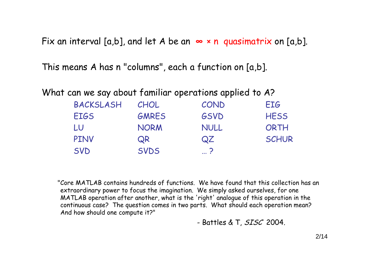Fix an interval [a,b], and let A be an **∞** <sup>×</sup> n quasimatrix on [a,b].

This means A has n "columns", each a function on [a,b].

What can we say about familiar operations applied to A?

| <b>BACKSLASH</b> | CHOL         | COND        | <b>FIG</b>   |
|------------------|--------------|-------------|--------------|
| <b>EIGS</b>      | <b>GMRES</b> | <b>GSVD</b> | <b>HESS</b>  |
| LU               | <b>NORM</b>  | <b>NULL</b> | ORTH         |
| <b>PINV</b>      | QR           | QZ          | <b>SCHUR</b> |
| <b>SVD</b>       | <b>SVDS</b>  | $\ldots$ ?  |              |

"Core MATLAB contains hundreds of functions. We have found that this collection has an extraordinary power to focus the imagination. We simply asked ourselves, for one MATLAB operation after another, what is the 'right' analogue of this operation in the continuous case? The question comes in two parts. What should each operation mean? And how should one compute it?"

- Battles & T, *SISC* 2004.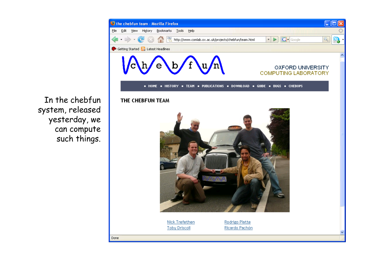

In the chebfun system, released yesterday, we can compute such things.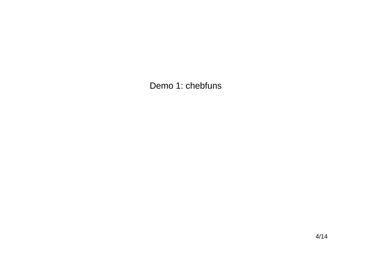Demo 1: chebfuns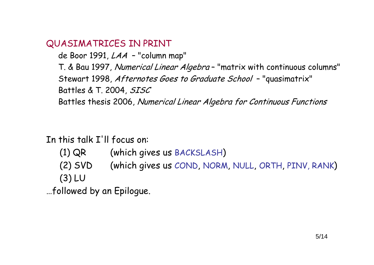#### QUASIMATRICES IN PRINT

de Boor 1991, *LAA -* "column map"

T. & Bau 1997, *Numerical Linear Algebra* – "matrix with continuous columns" Stewart 1998, *Afternotes Goes to Graduate School –* "quasimatrix" Battles & T. 2004, SISC

Battles thesis 2006, Numerical Linear Algebra for Continuous Functions

#### In this talk I'll focus on:

- (1) QR (which gives us BACKSLASH )
- (2) SVD (which gives us COND, NORM, NULL, ORTH, PINV, RANK ) (3) LU

…followed by an Epilogue.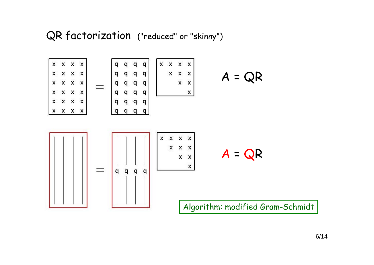## QR factorization ("reduced" or "skinny")

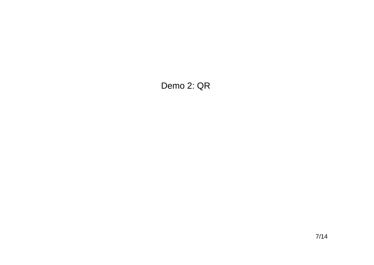#### Demo 2: QR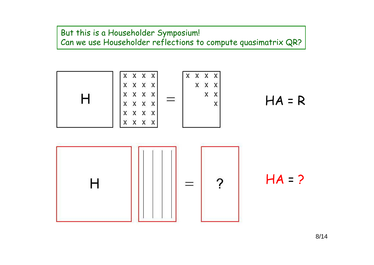#### But this is a Householder Symposium! Can we use Householder reflections to compute quasimatrix QR?





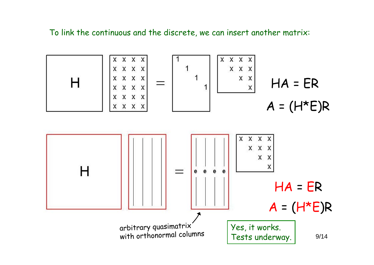To link the continuous and the discrete, we can insert another matrix:

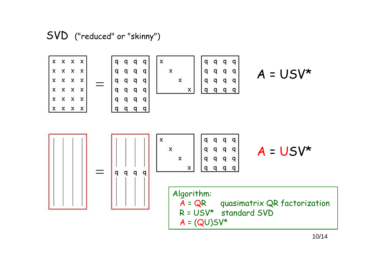SVD ("reduced" or "skinny")

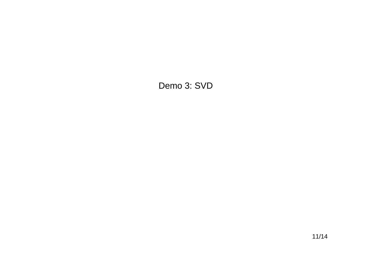#### Demo 3: SVD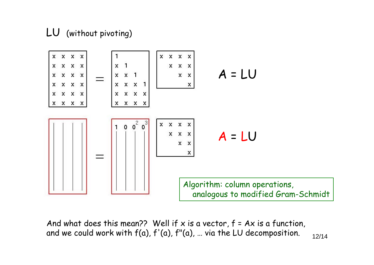### LU (without pivoting)



And what does this mean?? Well if x is a vector,  $f = Ax$  is a function, and we could work with  $f(a)$ ,  $f'(a)$ ,  $f''(a)$ , ... via the LU decomposition.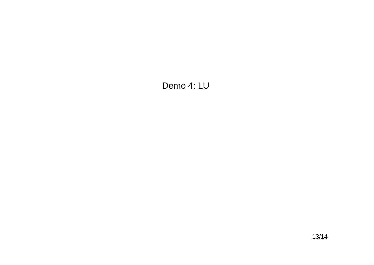#### Demo 4: LU